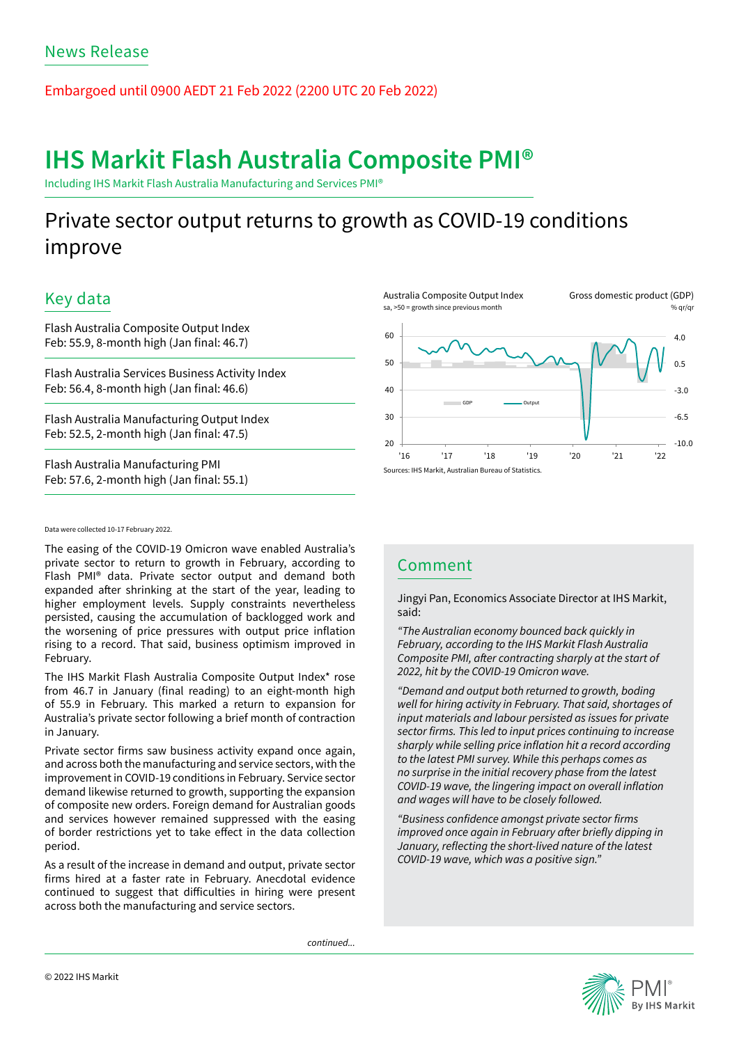Embargoed until 0900 AEDT 21 Feb 2022 (2200 UTC 20 Feb 2022)

# IHS Markit Flash Australia Composite PMI®

Including IHS Markit Flash Australia Manufacturing and Services PMI®

# Private sector output returns to growth as COVID-19 conditions improve

# Key data

Flash Australia Composite Output Index Feb: 55.9, 8-month high (Jan final: 46.7)

Flash Australia Services Business Activity Index Feb: 56.4, 8-month high (Jan final: 46.6)

Flash Australia Manufacturing Output Index Feb: 52.5, 2-month high (Jan final: 47.5)

Flash Australia Manufacturing PMI Feb: 57.6, 2-month high (Jan final: 55.1)

#### Australia Composite Output Index sa, >50 = growth since previous month

Gross domestic product (GDP) % qr/qı



### Data were collected 10-17 February 2022.

The easing of the COVID-19 Omicron wave enabled Australia's private sector to return to growth in February, according to Flash PMI® data. Private sector output and demand both expanded after shrinking at the start of the year, leading to higher employment levels. Supply constraints nevertheless persisted, causing the accumulation of backlogged work and the worsening of price pressures with output price inflation rising to a record. That said, business optimism improved in February.

The IHS Markit Flash Australia Composite Output Index\* rose from 46.7 in January (final reading) to an eight-month high of 55.9 in February. This marked a return to expansion for Australia's private sector following a brief month of contraction in January.

Private sector firms saw business activity expand once again, and across both the manufacturing and service sectors, with the improvement in COVID-19 conditions in February. Service sector demand likewise returned to growth, supporting the expansion of composite new orders. Foreign demand for Australian goods and services however remained suppressed with the easing of border restrictions yet to take effect in the data collection period.

As a result of the increase in demand and output, private sector firms hired at a faster rate in February. Anecdotal evidence continued to suggest that difficulties in hiring were present across both the manufacturing and service sectors.

*continued...*



Jingyi Pan, Economics Associate Director at IHS Markit, said:

*"The Australian economy bounced back quickly in February, according to the IHS Markit Flash Australia*  Composite PMI, after contracting sharply at the start of *2022, hit by the COVID-19 Omicron wave.* 

*"Demand and output both returned to growth, boding*  well for hiring activity in February. That said, shortages of input materials and labour persisted as issues for private sector firms. This led to input prices continuing to increase sharply while selling price inflation hit a record according *to the latest PMI survey. While this perhaps comes as*  no surprise in the initial recovery phase from the latest COVID-19 wave, the lingering impact on overall inflation and wages will have to be closely followed.

"Business confidence amongst private sector firms improved once again in February after briefly dipping in January, reflecting the short-lived nature of the latest *COVID-19 wave, which was a positive sign."* 

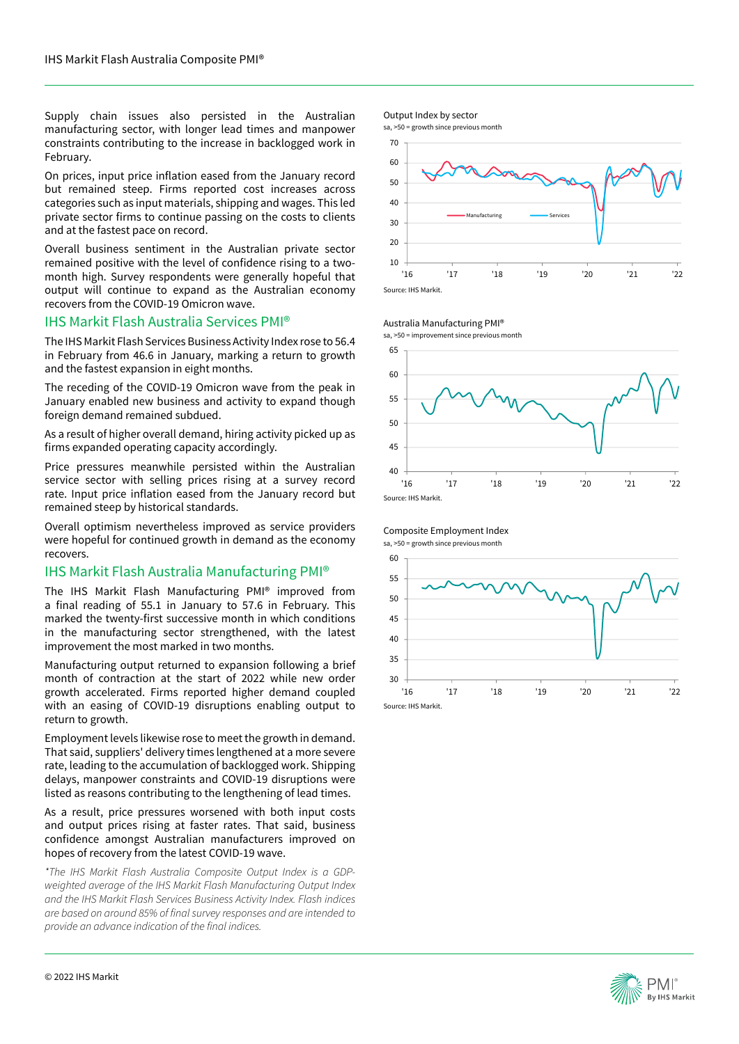Supply chain issues also persisted in the Australian manufacturing sector, with longer lead times and manpower constraints contributing to the increase in backlogged work in February.

On prices, input price inflation eased from the January record but remained steep. Firms reported cost increases across categories such as input materials, shipping and wages. This led private sector firms to continue passing on the costs to clients and at the fastest pace on record.

Overall business sentiment in the Australian private sector remained positive with the level of confidence rising to a twomonth high. Survey respondents were generally hopeful that output will continue to expand as the Australian economy recovers from the COVID-19 Omicron wave.

### IHS Markit Flash Australia Services PMI®

The IHS Markit Flash Services Business Activity Index rose to 56.4 in February from 46.6 in January, marking a return to growth and the fastest expansion in eight months.

The receding of the COVID-19 Omicron wave from the peak in January enabled new business and activity to expand though foreign demand remained subdued.

As a result of higher overall demand, hiring activity picked up as firms expanded operating capacity accordingly.

Price pressures meanwhile persisted within the Australian service sector with selling prices rising at a survey record rate. Input price inflation eased from the January record but remained steep by historical standards.

Overall optimism nevertheless improved as service providers were hopeful for continued growth in demand as the economy recovers.

## IHS Markit Flash Australia Manufacturing PMI®

The IHS Markit Flash Manufacturing PMI® improved from a final reading of 55.1 in January to 57.6 in February. This marked the twenty-first successive month in which conditions in the manufacturing sector strengthened, with the latest improvement the most marked in two months.

Manufacturing output returned to expansion following a brief month of contraction at the start of 2022 while new order growth accelerated. Firms reported higher demand coupled with an easing of COVID-19 disruptions enabling output to return to growth.

Employment levels likewise rose to meet the growth in demand. That said, suppliers' delivery times lengthened at a more severe rate, leading to the accumulation of backlogged work. Shipping delays, manpower constraints and COVID-19 disruptions were listed as reasons contributing to the lengthening of lead times.

As a result, price pressures worsened with both input costs and output prices rising at faster rates. That said, business confidence amongst Australian manufacturers improved on hopes of recovery from the latest COVID-19 wave.

*\*The IHS Markit Flash Australia Composite Output Index is a GDPweighted average of the IHS Markit Flash Manufacturing Output Index and the IHS Markit Flash Services Business Activity Index. Flash indices*  are based on around 85% of final survey responses and are intended to provide an advance indication of the final indices.



#### Australia Manufacturing PMI®

sa, >50 = improvement since previous month